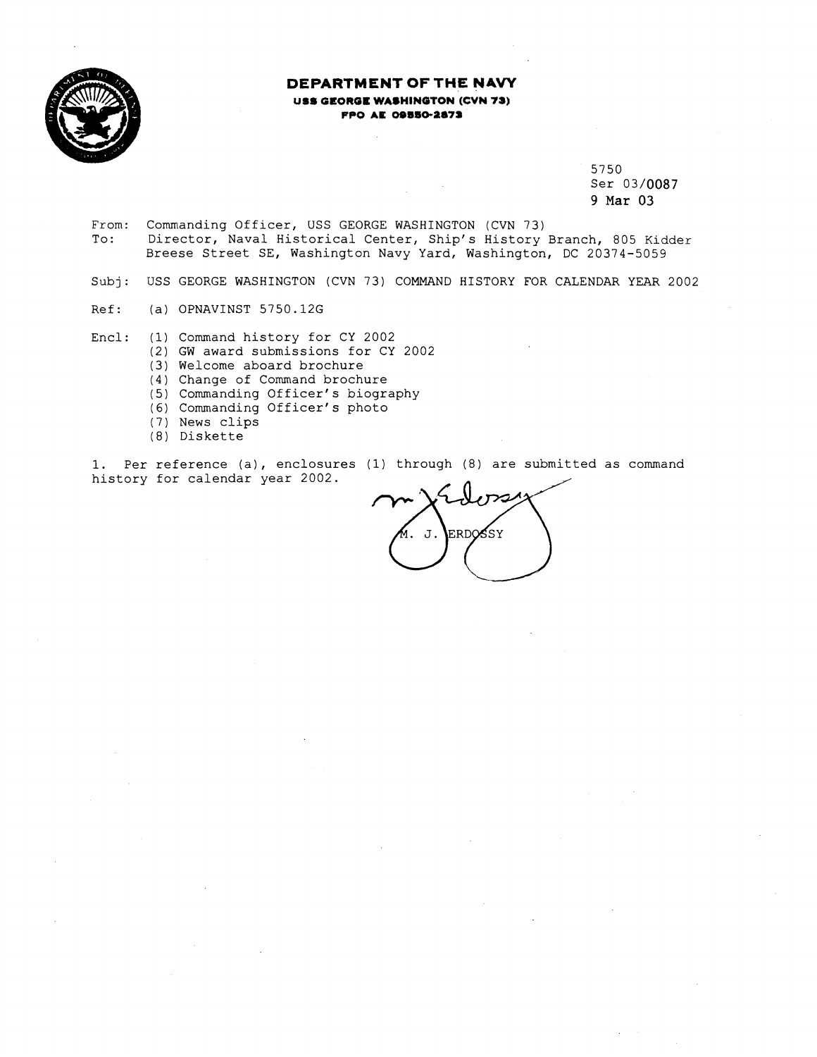

# **DEPARTMENT OF THE N&W USS GEORGE WASHINGTON (CVN 73) PC0 AE OlSS0-an75**

5750 Ser 03/0087 9 Mar 03

- From: Commanding Officer, USS GEORGE WASHINGTON (CVN 73)<br>To: Director, Naval Historical Center, Ship's History To: Director, Naval Historical Center, Ship's History Branch, 805 Kidder Breese Street SE, Washington Navy Yard, Washington, DC 20374-5059
- Subj: USS GEORGE WASHINGTON (CVN 73) COMMAND HISTORY FOR CALENDAR YEAR 2002
- Ref: (a) OPNAVINST 5750.126

Encl: (1) Command history for CY 2002

- (2) GW award submissions for CY 2002
- *(3)*  Welcome aboard brochure
- (4) Change of Command brochure
- (5) Commanding Officer's biography
- **(6)**  Commanding Officer's photo
- (7) News clips
- (8) Diskette

1. Per reference (a), enclosures (1) through (8) are submitted as command history for calendar year 2002.

يرس  $I. J.$ ERDOSSY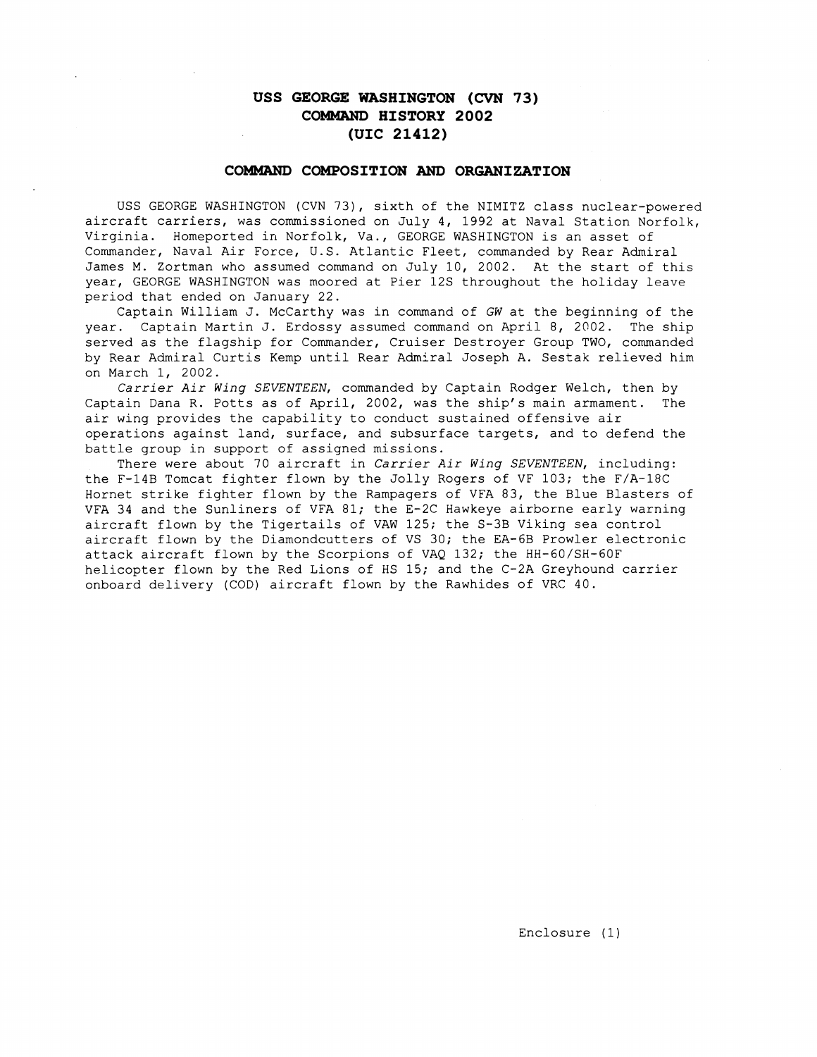# **USS GEORGE WASHINGTON (CVN 73) COMMAND HISTORY 2002 (UIC 21412)**

# **COMMAND COMPOSITION AND ORGANIZATION**

USS GEORGE WASHINGTON (CVN 73), sixth of the NIMITZ class nuclear-powered aircraft carriers, was commissioned on July 4, 1992 at Naval Station Norfolk, Virginia. Homeported in Norfolk, Va., GEORGE WASHINGTON is an asset of Commander, Naval Air Force, U.S. Atlantic Fleet, commanded by Rear Admiral James M. Zortman who assumed command on July 10, 2002. At the start of thls year, GEORGE WASHINGTON was moored at Pier 12s throughout the holiday leave period that ended on January 22.

Captain William J. McCarthy was in command of *GW* at the beginning of the year. Captain Martin J. Erdossy assumed command on April 8, 2002. The ship served as the flagship for Commander, Cruiser Destroyer Group TWO, commanded by Rear Admiral Curtis Kemp until Rear Admiral Joseph A. Sestak relieved him on March 1, 2002.

*Carrier Air Wing* SEVENTEEN, commanded by Captain Rodger Welch, then by Captain Dana R. Potts as of April, 2002, was the ship's main armament. The air wing provides the capability to conduct sustained offensive air operations against land, surface, and subsurface targets, and to defend the battle group in support of assigned missions.

There were about 70 aircraft in *Carrier Air Wing* SEVENTEEN, including: the F-14B Tomcat fighter flown by the Jolly Rogers of VF 103; the F/A-18C Hornet strike fighter flown by the Rampagers of VFA 83, the Blue Blasters of VFA 34 and the Sunliners of VFA 81; the E-2C Hawkeye airborne early warning aircraft flown by the Tigertails of VAW 125; the S-3B Viking sea control aircraft flown by the Diamondcutters of VS 30; the EA-6B Prowler electronic attack aircraft flown by the Scorpions of VAQ 132; the HH-60/SH-60F helicopter flown by the Red Lions of HS 15; and the C-2A Greyhound carrier onboard delivery (COD) aircraft flown by the Rawhides of VRC 40.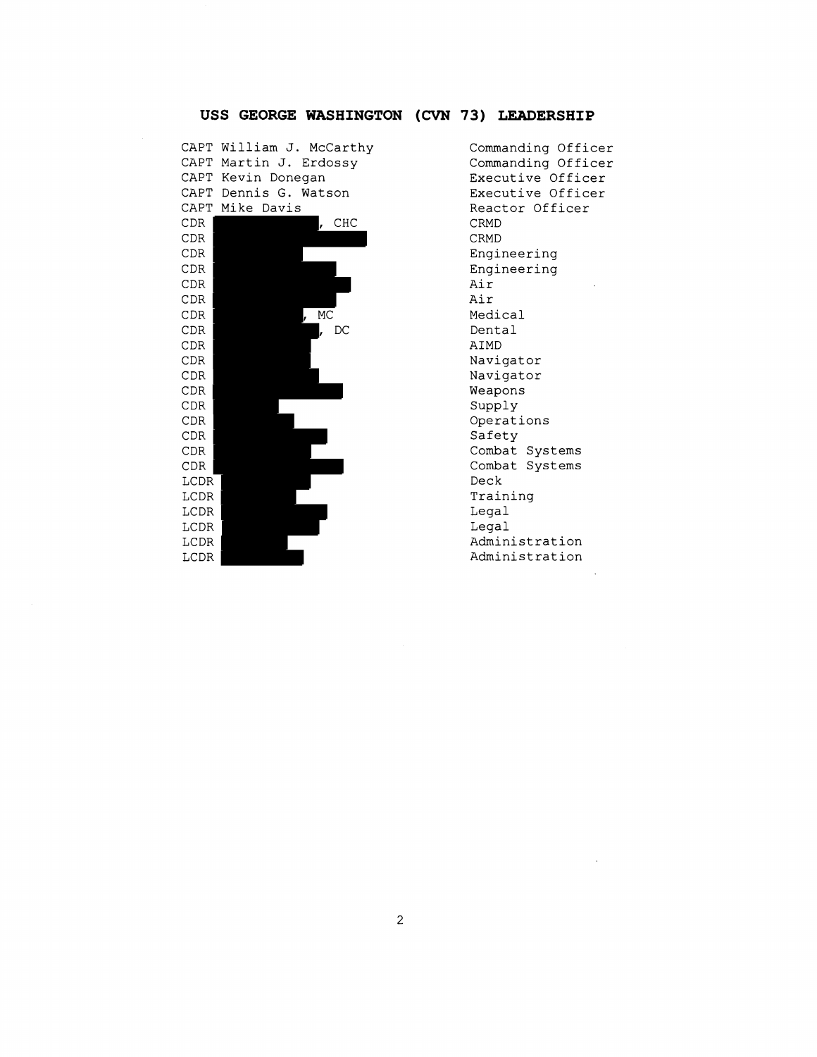

Commanding Officer Commanding Officer Executive Officer Executive Officer Reactor Officer CRMD CRMD Engineering Engineering Air Air Medical Dental AIMD Navigator Navigator Weapons Supply Operations Safety Combat Systems Combat Systems Deck Training Legal Legal Administration Administration

# **USS GEORGE WASHINGTON (CVN 73) LEADERSHIP**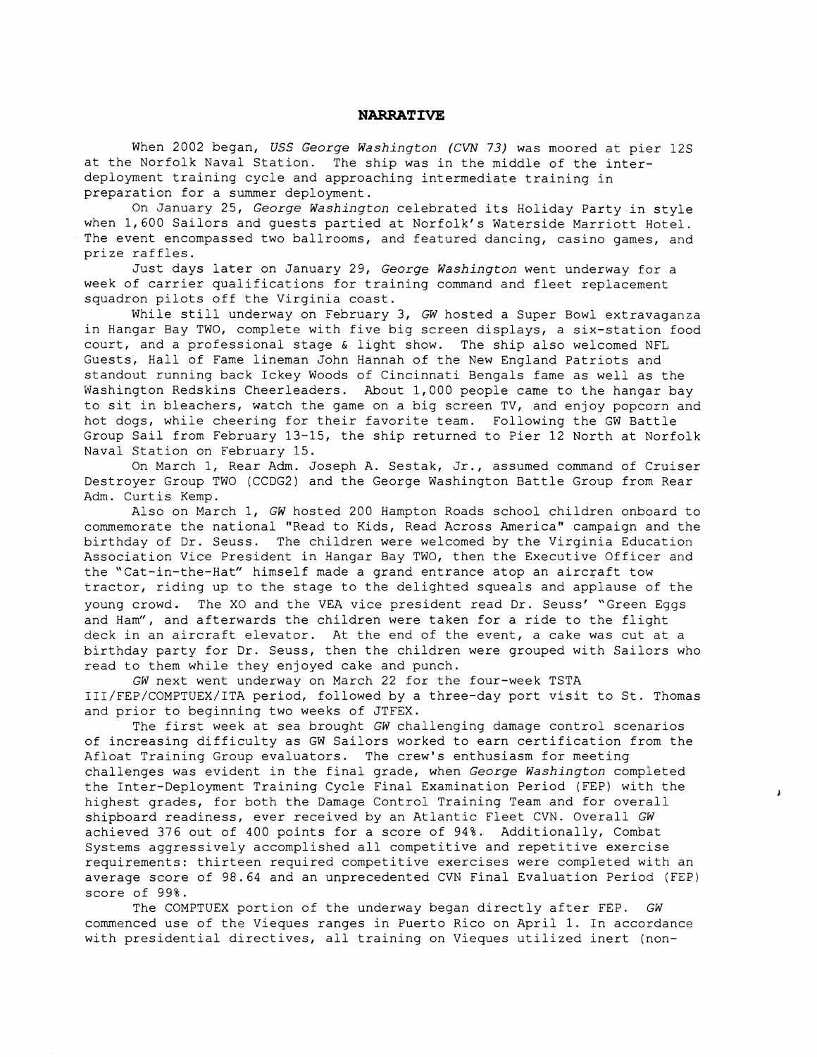### **NARRATIVE**

When 2002 began, **USS** *George Washington* (CVN *73)* was moored at pier 12s at the Norfolk Naval Station. The ship was in the middle of the interdeployment training cycle and approaching intermediate training in preparation for a summer deployment.

On January 25, *George Washington* celebrated its Holiday Party in style when 1,600 Sailors and guests partied at Norfolk's Waterside Marriott Hotel. The event encompassed two ballrooms, and featured dancing, casino games, and prize raffles.

Just days later on January 29, *George Washington* went underway for a week of carrier qualifications for training command and fleet replacement squadron pilots off the Virginia coast.

While still underway on February 3, *GW* hosted a Super Bowl extravaganza in Hangar Bay TWO, complete with five big screen displays, a six-station food court, and a professional stage & light show. The ship also welcomed NFL Guests, Hall of Fame lineman John Hannah of the New England Patriots and standout running back Ickey Woods of Cincinnati Bengals fame as well as the Washington Redskins Cheerleaders. About 1,000 people came to the hangar bay to sit in bleachers, watch the game on a big screen TV, and enjoy popcorn and hot dogs, while cheering for their favorite team. Following the GW Battle Group Sail from February 13-15, the ship returned to Pier 12 North at Norfolk Naval Station on February 15.

On March 1, Rear Adm. Joseph A. Sestak, Jr., assumed command of Cruiser Destroyer Group TWO (CCDG2) and the George Washington Battle Group from Rear Adm. Curtis Kemp.

Also on March 1, *GW* hosted 200 Hampton Roads school children onboard to commemorate the national "Read to Kids, Read Across America" campaign and the birthday of Dr. Seuss. The children were welcomed by the Virginia Education Association Vice President in Hangar Bay TWO, then the Executive Officer and the "Cat-in-the-Hat'' himself made a grand entrance atop an aircraft tow tractor, riding up to the stage to the delighted squeals and applause of the young crowd. The XO and the VEA vice president read Dr. Seuss' "Green Eggs and Ham", and afterwards the children were taken for a ride to the flight deck in an aircraft elevator. At the end of the event, a cake was cut at a birthday party for Dr. Seuss, then the children were grouped with Sailors who read to them while they enjoyed cake and punch.

*GW* next went underway on March 22 for the four-week TSTA 111/FEP/COMPTUEX/ITA period, followed by a three-day port visit to St. Thomas and prior to beginning two weeks of JTFEX.

The first week at sea brought *GW* challenging damage control scenarios of increasing difficulty as GW Sailors worked to earn certification from the Afloat Training Group evaluators. The crew's enthusiasm for meeting challenges was evident in the final grade, when *George Washington* completed the Inter-Deployment Training Cycle Final Examination Period (FEP) with the highest grades, for both the Damage Control Training Team and for overall shipboard readiness, ever received by an Atlantic Fleet CVN. Overall *GW*  achieved 376 out of 400 points for a score of 94%. Additionally, Combat Systems aggressively accomplished all competitive and repetitive exercise requirements: thirteen required competitive exercises were completed with an average score of 98.64 and an unprecedented CVN Final Evaluation Period (FEP) score of 998.

The COMPTUEX portion of the underway began directly after FEP. *GW*  commenced use of the Vieques ranges in Puerto Rico on April 1. In accordance with presidential directives, all training on Vieques utilized inert (non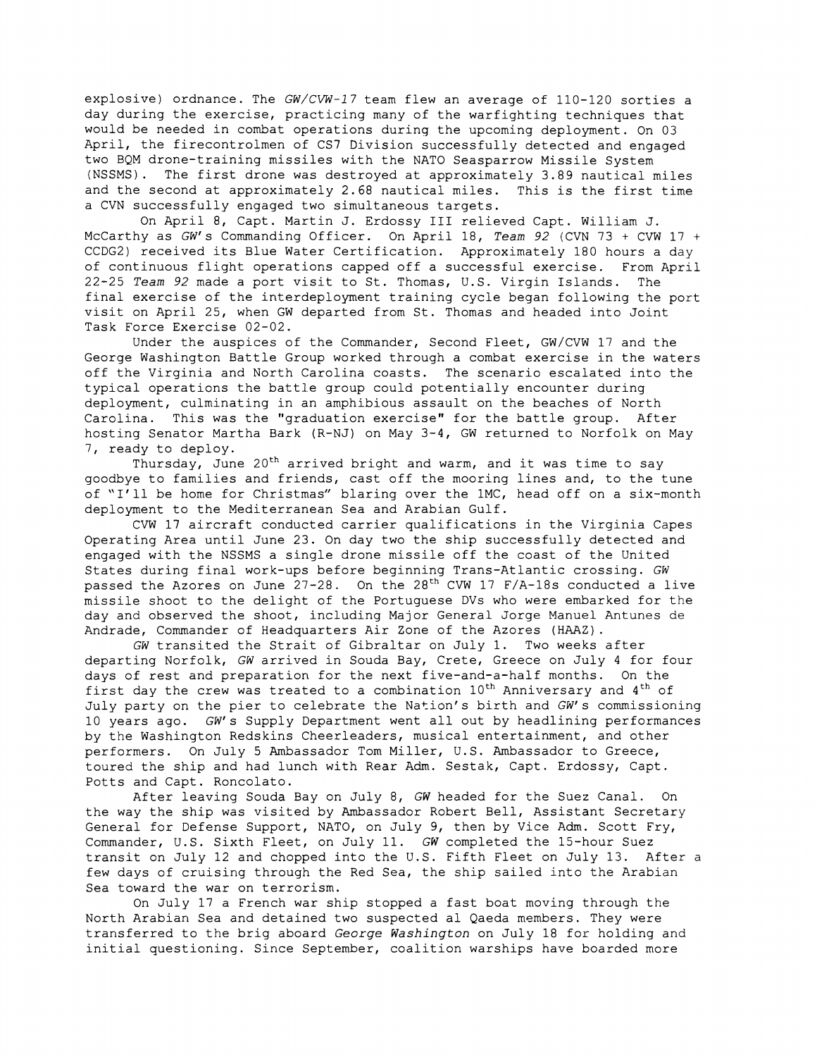explosive) ordnance. The GW/CVW-17 team flew an average of 110-120 sorties a day during the exercise, practicing many of the warfighting techniques that would be needed in combat operations during the upcoming deployment. On 03 April, the firecontrolmen of CS7 Division successfully detected and engaged two BQM drone-training missiles with the NATO Seasparrow Missile System (NSSMS). The first drone was destroyed at approximately 3.89 nautical miles and the second at approximately 2.68 nautical miles. This is the first time a CVN successfully engaged two simultaneous targets.

On April 8, Capt. Martin J. Erdossy I11 relieved Capt. William J. McCarthy as GW's Commanding Officer. On April 18, Team 92 (CVN 73 + CVW 17 + CCDG2) received its Blue Water Certification. Approximately 180 hours a day of continuous flight operations capped off a successful exercise. From April 22-25 Team 92 made a port visit to St. Thomas, U.S. Virgin Islands. The final exercise of the interdeployment training cycle began following the port visit on April 25, when GW departed from St. Thomas and headed into Joint Task Force Exercise 02-02.

Under the auspices of the Commander, Second Fleet, GW/CVW 17 and the George Washington Battle Group worked through a combat exercise in the waters off the Virginia and North Carolina coasts. The scenario escalated into the typical operations the battle group could potentially encounter during deployment, culminating in an amphibious assault on the beaches of North Carolina. This was the "graduation exercise" for the battle group. After hosting Senator Martha Bark (R-NJ) on May 3-4, GW returned to Norfolk on May 7, ready to deploy.

Thursday, June  $20^{th}$  arrived bright and warm, and it was time to say goodbye to families and friends, cast off the mooring lines and, to the tune of "I'll be home for Christmas" blaring over the lMC, head off on a six-month deployment to the Mediterranean Sea and Arabian Gulf.

CVW 17 aircraft conducted carrier qualifications in the Virginia Capes Operating Area until June 23. On day two the ship successfully detected and engaged with the NSSMS a single drone missile off the coast of the United States during final work-ups before beginning Trans-Atlantic crossing. GW passed the Azores on June 27-28. On the 28<sup>th</sup> CVW 17 F/A-18s conducted a live missile shoot to the delight of the Portuguese DVs who were embarked for the day and observed the shoot, including Major General Jorge Manuel Antunes de Andrade, Commander of Headquarters Air Zone of the Azores (HAAZ).

GW transited the Strait of Gibraltar on July 1. Two weeks after departing Norfolk, GW arrived in Souda Bay, Crete, Greece on July 4 for four days of rest and preparation for the next five-and-a-half months. On the first day the crew was treated to a combination  $10^{th}$  Anniversary and  $4^{th}$  of July party on the pier to celebrate the Nation's birth and GW's commissioning 10 years ago. GW's Supply Department went all out by headlining performances by the Washington Redskins Cheerleaders, musical entertainment, and other performers. On July 5 Ambassador Tom Miller, U.S. Ambassador to Greece, toured the ship and had lunch with Rear Adm. Sestak, Capt. Erdossy, Capt. Potts and Capt. Roncolato.

After leaving Souda Bay on July 8, GW headed for the Suez Canal. On the way the ship was visited by Ambassador Robert Bell, Assistant Secretary General for Defense Support, NATO, on July 9, then by Vice Adm. Scott Fry, Commander, U.S. Sixth Fleet, on July 11. GW completed the 15-hour Suez transit on July 12 and chopped into the U.S. Fifth Fleet on July 13. After a few days of cruising through the Red Sea, the ship sailed into the Arabian Sea toward the war on terrorism.

On July 17 a French war ship stopped a fast boat moving through the North Arabian Sea and detained two suspected a1 Qaeda members. They were transferred to the brig aboard George Washington on July 18 for holding and initial questioning. Since September, coalition warships have boarded more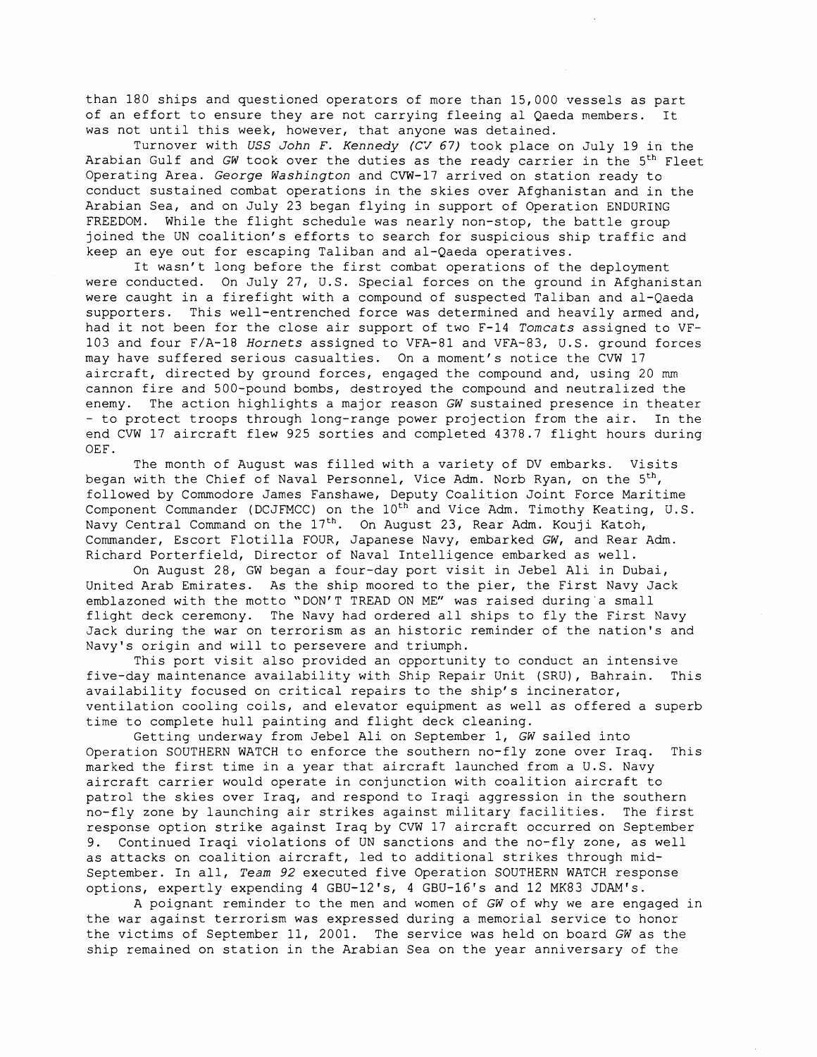than 180 ships and questioned operators of more than 15,000 vessels as part of an effort to ensure they are not carrying fleeing a1 Qaeda members. It was not until this week, however, that anyone was detained.

Turnover with USS *John* F. **Kennedy** (C'J 67) took place on July 19 in the Arabian Gulf and *GW* took over the duties as the ready carrier in the 5<sup>th</sup> Fleet Operating Area. *George Washington* and CVW-17 arrived on station ready to conduct sustained combat operations in the skies over Afghanistan and in the Arabian Sea, and on July 23 began flying in support of Operation ENDURING FREEDOM. While the flight schedule was nearly non-stop, the battle group joined the UN coalition's efforts to search for suspicious ship traffic and keep an eye out for escaping Taliban and al-Qaeda operatives.

It wasn't long before the first combat operations of the deployment were conducted. On July 27, U.S. Special forces on the ground in Afghanistan were caught in a firefight with a compound of suspected Taliban and al-Qaeda supporters. This well-entrenched force was determined and heavily armed and, had it not been for the close air support of two F-14 *Tomcats* assigned to VF-103 and four F/A-18 *Hornets* assigned to VFA-81 and VFA-83, U.S. ground forces may have suffered serious casualties. On a moment's notice the CVW 17 aircraft, directed by ground forces, engaged the compound and, using 20 mm cannon fire and 500-pound bombs, destroyed the compound and neutralized the enemy. The action highlights a major reason *GW* sustained presence in theater - to protect troops through long-range power projection from the air. In the end CVW 17 aircraft flew 925 sorties and completed 4378.7 flight hours during OEF.

The month of August was filled with a variety of DV embarks. Visits began with the Chief of Naval Personnel, Vice Adm. Norb Ryan, on the  $5<sup>th</sup>$ , followed by Commodore James Fanshawe, Deputy Coalition Joint Force Maritime Component Commander (DCJFMCC) on the 10<sup>th</sup> and Vice Adm. Timothy Keating, U.S. Navy Central Command on the  $17<sup>th</sup>$ . On August 23, Rear Adm. Kouji Katoh, Commander, Escort Flotilla FOUR, Japanese Navy, embarked *GW,* and Rear Adm. Richard Porterfield, Director of Naval Intelligence embarked as well.

On August 28, GW began a four-day port visit in Jebel Ali in Dubai, United Arab Emirates. As the ship moored to the pier, the First Navy Jack emblazoned with the motto "DON'T TREAD ON ME" was raised during'a small flight deck ceremony. The Navy had ordered all ships to fly the First Navy Jack during the war on terrorism as an historic reminder of the nation's and Navy's origin and will to persevere and triumph.

This port visit also provided an opportunity to conduct an intensive five-day maintenance availability with Ship Repair Unit (SRU), Bahrain. This availability focused on critical repairs to the ship's incinerator, ventilation cooling coils, and elevator equipment as well as offered a superb time to complete hull painting and flight deck cleaning.

Getting underway from Jebel Ali on September 1, *GW* sailed into Operation SOUTHERN WATCH to enforce the southern no-fly zone over Iraq. This marked the first time in a year that aircraft launched from a U.S. Navy aircraft carrier would operate in conjunction with coalition aircraft to patrol the skies over Iraq, and respond to Iraqi aggression in the southern no-fly zone by launching air strikes against military facilities. The first response option strike against Iraq by CVW 17 aircraft occurred on September 9. Continued Iraqi violations of UN sanctions and the no-fly zone, as well as attacks on coalition aircraft, led to additional strikes through mid-September. In all, *Team* 92 executed five Operation SOUTHERN WATCH response options, expertly expending 4 GBU-12's, 4 GBU-16's and 12 MK83 JDAM's.

A poignant reminder to the men and women of *GW* of why we are engaged in the war against terrorism was expressed during a memorial service to honor the victims of September 11, 2001. The service was held on board *GW* as the ship remained on station in the Arabian Sea on the year anniversary of the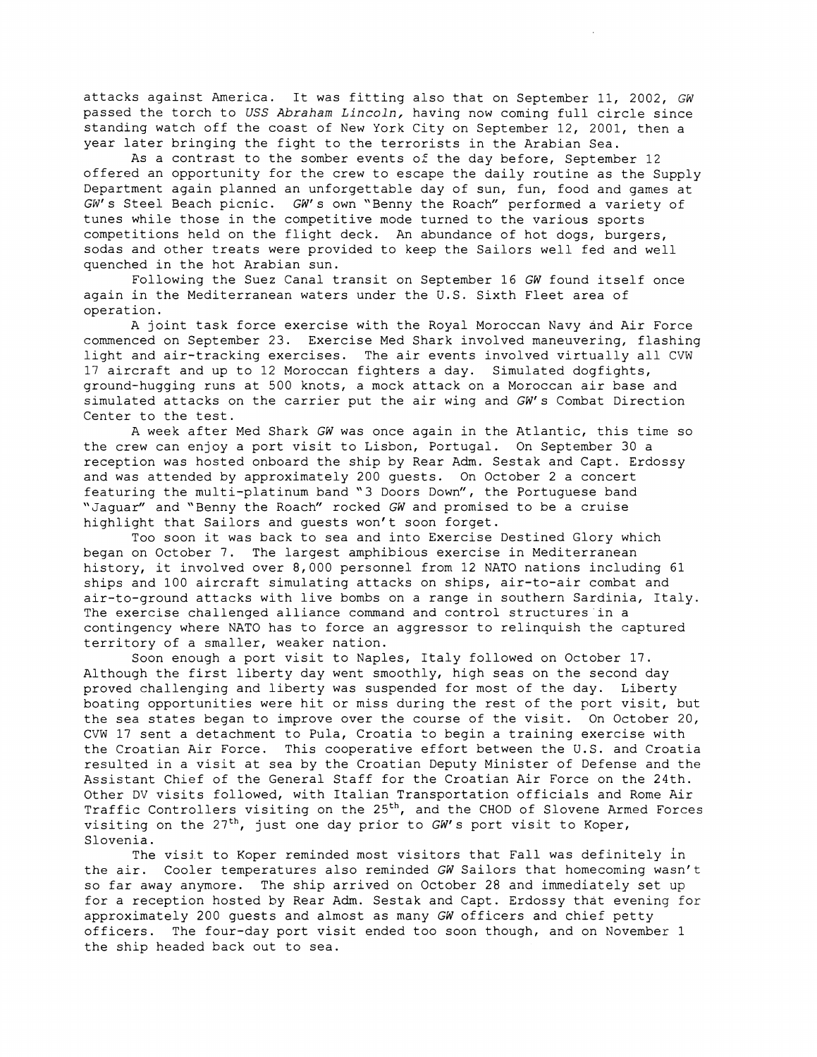attacks against America. It was fitting also that on September 11, 2002, GW passed the torch to USS Abraham **Lincoln,** having now coming full circle since standing watch off the coast of New York City on September 12, 2001, then a year later bringing the fight to the terrorists in the Arabian Sea.

As a contrast to the somber events of the day before, September 12 offered an opportunity for the crew to escape the daily routine as the Supply Department again planned an unforgettable day of sun, fun, food and games at GW's Steel Beach picnic. GW's own "Benny the Roach" performed a variety of tunes while those in the competitive mode turned to the various sports competitions held on the flight deck. An abundance of hot dogs, burgers, sodas and other treats were provided to keep the Sailors well fed and well quenched in the hot Arabian sun.

Following the Suez Canal transit on September 16 GW found itself once again in the Mediterranean waters under the U.S. Sixth Fleet area of operation.

A joint task force exercise with the Royal Moroccan Navy and Air Force commenced on September 23. Exercise Med Shark involved maneuvering, flashing light and air-tracking exercises. The air events involved virtually all CVW 17 aircraft and up to 12 Moroccan fighters a day. Simulated dogfights, ground-hugging runs at 500 knots, a mock attack on a Moroccan air base and simulated attacks on the carrier put the air wing and GW's Combat Direction Center to the test.

A week after Med Shark GW was once again in the Atlantic, this time so the crew can enjoy a port visit to Lisbon, Portugal. On September 30 a reception was hosted onboard the ship by Rear Adm. Sestak and Capt. Erdossy and was attended by approximately 200 guests. On October 2 a concert featuring the multi-platinum band "3 Doors Down", the Portuguese band "Jaguar" and "Benny the Roach" rocked GW and promised to be a cruise highlight that Sailors and guests won't soon forget.

Too soon it was back to sea and into Exercise Destined Glory which began on October 7. The largest amphibious exercise in Mediterranean history, it involved over 8,000 personnel from 12 NATO nations including 61 ships and 100 aircraft simulating attacks on ships, air-to-air combat and air-to-ground attacks with live bombs on a range in southern Sardinia, Italy. The exercise challenged alliance command and control structures in a contingency where NATO has to force an aggressor to relinquish the captured territory of a smaller, weaker nation.

Soon enough a port visit to Naples, Italy followed on October 17. Although the first liberty day went smoothly, high seas on the second day proved challenging and liberty was suspended for most of the day. Liberty boating opportunities were hit or miss during the rest of the port visit, but the sea states began to improve over the course of the visit. On October 20, CVW 17 sent a detachment to Pula, Croatia to begin a training exercise with the Croatian Air Force. This cooperative effort between the U.S. and Croatia resulted in a visit at sea by the Croatian Deputy Minister of Defense and the Assistant Chief of the General Staff for the Croatian Air Force on the 24th. Other DV visits followed, with Italian Transportation officials and Rome Air Traffic Controllers visiting on the 25<sup>th</sup>, and the CHOD of Slovene Armed Forces visiting on the  $27<sup>th</sup>$ , just one day prior to GW's port visit to Koper, Slovenia.

The visit to Koper reminded most visitors that Fall was definitely in the air. Cooler temperatures also reminded GW Sailors that homecoming wasn't so far away anymore. The ship arrived on October 28 and immediately set up for a reception hosted by Rear Adm. Sestak and Capt. Erdossy that evening for approximately 200 guests and almost as many GW officers and chief petty officers. The four-day port visit ended too soon though, and on November 1 the ship headed back out to sea.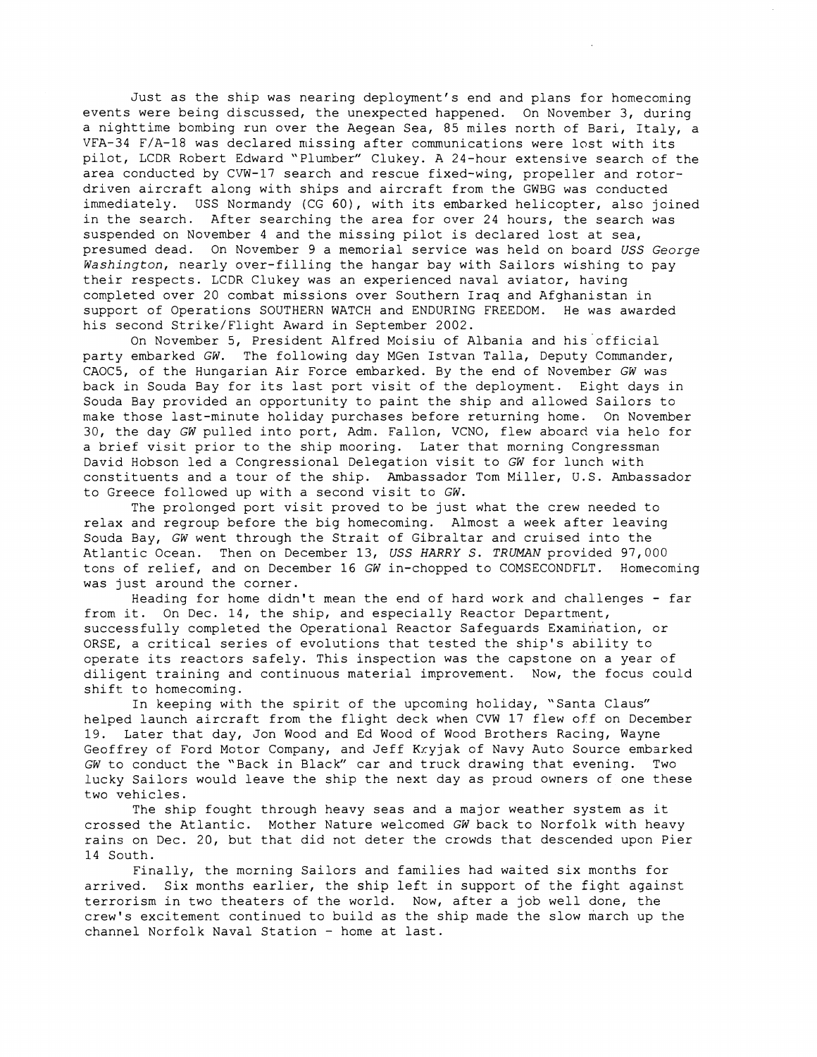Just as the ship was nearing deployment's end and plans for homecoming events were being discussed, the unexpected happened. On November 3, during a nighttime bombing run over the Aegean Sea, 85 miles north of Bari, Italy, a VFA-34 F/A-18 was declared missing after communications were lost with its pilot, LCDR Robert Edward "Plumber" Clukey. A 24-hour extensive search of the area conducted by CVW-17 search and rescue fixed-wing, propeller and rotordriven aircraft along with ships and aircraft from the GWBG was conducted immediately. USS Normandy (CG 60), with its embarked helicopter, also joined in the search. After searching the area for over 24 hours, the search was suspended on November 4 and the missing pilot is declared lost at sea, presumed dead. On November 9 a memorial service was held on board *USS George Washington,* nearly over-filling the hangar bay with Sailors wishing to pay their respects. LCDR Clukey was an experienced naval aviator, having completed over 20 combat missions over Southern Iraq and Afghanistan in support of Operations SOUTHERN WATCH and ENDURING FREEDOM. He was awarded his second Strike/Flight Award in September 2002.

On November 5, President Alfred Moisiu of Albania and his official party embarked *GW.* The following day MGen Istvan Talla, Deputy Commander, CAOC5, of the Hungarian Air Force embarked. By the end of November *GW* was back in Souda Bay for its last port visit of the deployment. Eight days in Souda Bay provided an opportunity to paint the ship and allowed Sailors to make those last-minute holiday purchases before returning home. On November 30, the day *GW* pulled into port, Adm. Fallon, VCNO, flew aboard via helo for a brief visit prior to the ship mooring. Later that morning Congressman David Hobson led a Congressional Delegation visit to *GW* for lunch with constituents and a tour of the ship. Ambassador Tom Miller, U.S. Ambassador to Greece followed up with a second visit to *GW.* 

The prolonged port visit proved to be just what the crew needed to relax and regroup before the big homecoming. Almost a week after leaving Souda Bay, *GW* went through the Strait of Gibraltar and cruised into the Atlantic Ocean. Then on December 13, *USS HARRY* S. *TRUMAN* provided 97,000 tons of relief, and on December 16 *GW* in-chopped to COMSECONDFLT. Homecoming was just around the corner.

Heading for home didn't mean the end of hard work and challenges - far from it. On Dec. 14, the ship, and especially Reactor Department, successfully completed the Operational Reactor Safeguards Examination, or ORSE, a critical series of evolutions that tested the ship's ability to operate its reactors safely. This inspection was the capstone on a year of diligent training and continuous material improvement. Now, the focus could shift to homecoming.

In keeping with the spirit of the upcoming holiday, "Santa Claus" helped launch aircraft from the flight deck when CVW 17 flew off on December 19. Later that day, Jon Wood and Ed Wood of Wood Brothers Racing, Wayne Geoffrey of Ford Motor Company, and Jeff Kryjak of Navy Auto Source embarked *GW* to conduct the "Back in Black" car and truck drawing that evening. Two lucky Sailors would leave the ship the next day as proud owners of one these two vehicles.

The ship fought through heavy seas and a major weather system as it crossed the Atlantic. Mother Nature welcomed *GW* back to Norfolk with heavy rains on Dec. 20, but that did not deter the crowds that descended upon Pier 14 South.

Finally, the morning Sailors and families had waited six months for arrived. Six months earlier, the ship left in support of the fight against terrorism in two theaters of the world. Now, after a job well done, the crew's excitement continued to build as the ship made the slow march up the channel Norfolk Naval Station - home at last.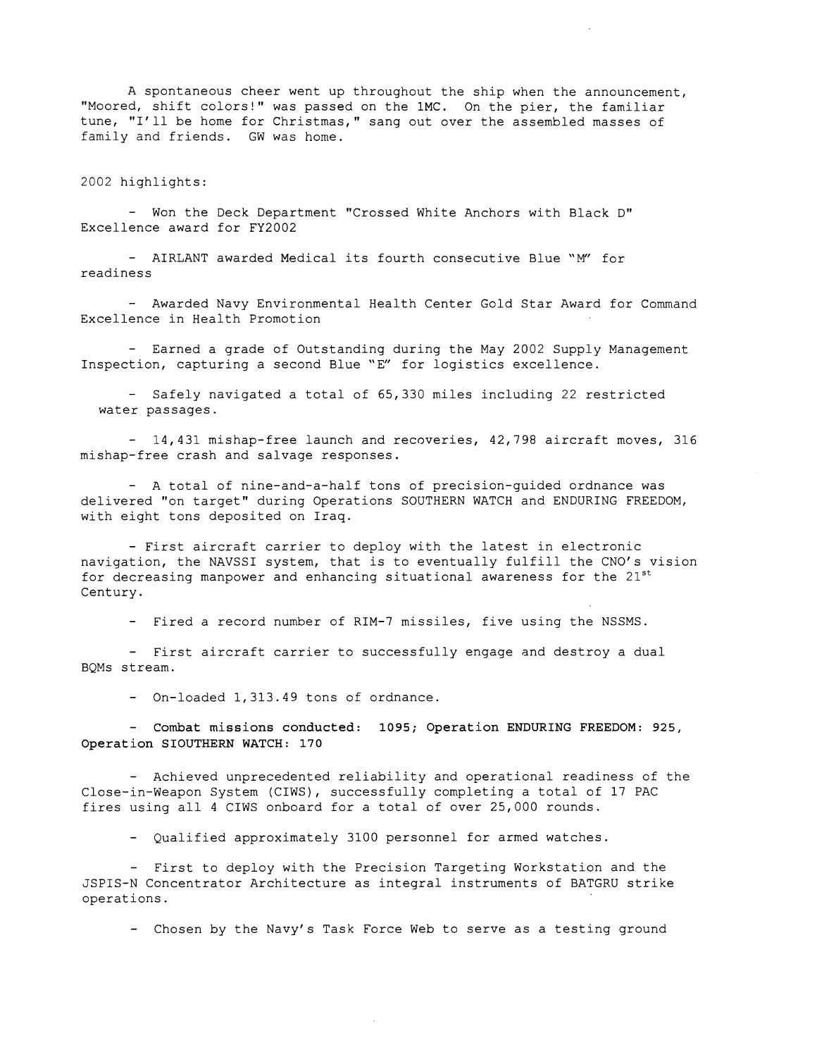A spontaneous cheer went up throughout the ship when the announcement, "Moored, shift colors!" was passed on the 1MC. On the pier, the familiar tune, "1'11 be home for Christmas," sang out over the assembled masses of family and friends. GW was home.

2002 highlights:

- Won the Deck Department "Crossed White Anchors with Black D" Excellence award for FY2002

- AIRLANT awarded Medical its fourth consecutive Blue "M" for readiness

- Awarded Navy Environmental Health Center Gold Star Award for Command Excellence in Health Promotion

- Earned a grade of Outstanding during the May 2002 Supply Management Inspection, capturing a second Blue "E" for logistics excellence.

- Safely navigated a total of 65,330 miles including 22 restricted water passages.

- 14,431 mishap-free launch and recoveries, 42,798 aircraft moves, 316 mishap-free crash and salvage responses.

- A total of nine-and-a-half tons of precision-guided ordnance was delivered "on target" during Operations SOUTHERN WATCH and ENDURING FREEDOM, with eight tons deposited on Iraq.

- First aircraft carrier to deploy with the latest in electronic navigation, the NAVSSI system, that is to eventually fulfill the CNO's vision for decreasing manpower and enhancing situational awareness for the  $21^{st}$ Century.

- Fired a record number of RIM-7 missiles, five using the NSSMS.

- First aircraft carrier to successfully engage and destroy a dual BQMs stream.

- On-loaded 1,313.49 tons of ordnance.

- Combat missions conducted: **1095;** Operation ENDURING FREEDOM: 925, Operation SIOUTHERN WATCH: **170** 

- Achieved unprecedented reliability and operational readiness of the Close-in-Weapon System (CIWS), successfully completing a total of 17 PAC fires using all 4 CIWS onboard for a total of over 25,000 rounds.

- Qualified approximately 3100 personnel for armed watches.

- First to deploy with the Precision Targeting Workstation and the JSPIS-N Concentrator Architecture as integral instruments of BATGRU strike operations.

- Chosen by the Navy's Task Force Web to serve as a testing ground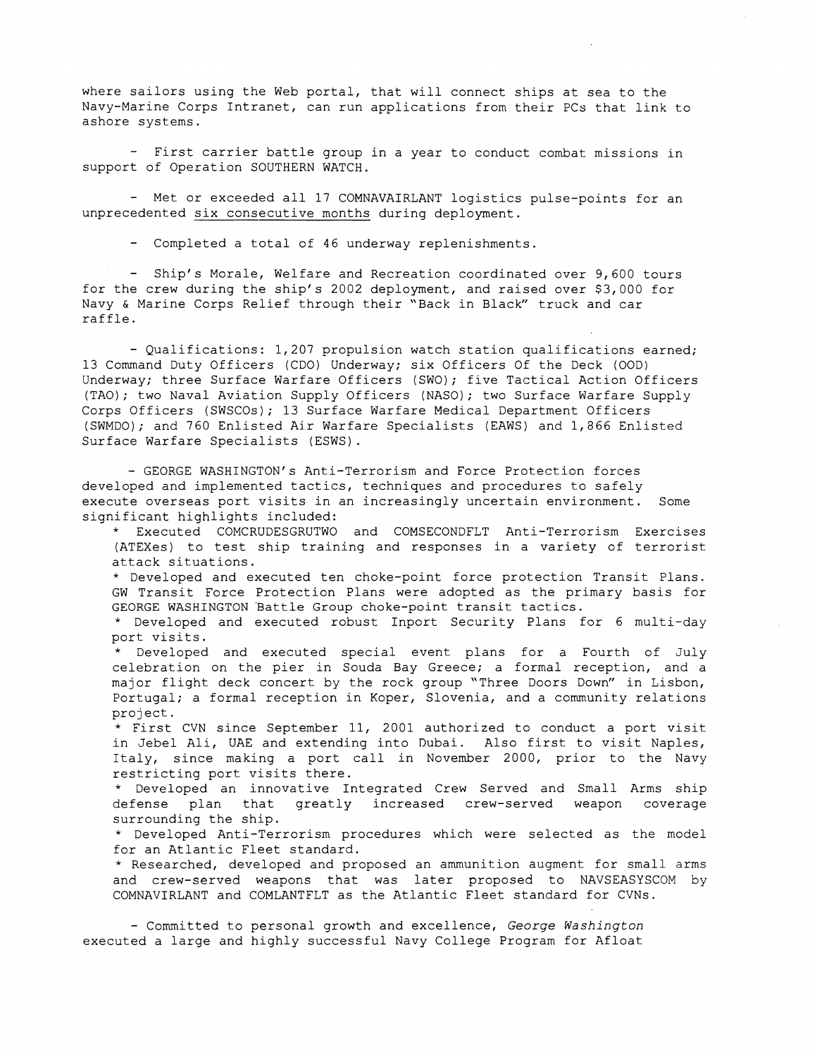where sailors using the Web portal, that will connect ships at sea to the Navy-Marine Corps Intranet, can run applications from their PCs that link to ashore systems.

- First carrier battle group in a year to conduct combat missions in support of Operation SOUTHERN WATCH.

- Met or exceeded all 17 COMNAVAIRLANT logistics pulse-points for an unprecedented six consecutive months during deployment.

- Completed a total of 46 underway replenishments.

- Ship's Morale, Welfare and Recreation coordinated over 9,600 tours for the crew during the ship's 2002 deployment, and raised over \$3,000 for Navy & Marine Corps Relief through their "Back in Black" truck and car raffle.

- Qualifications: 1,207 propulsion watch station qualifications earned; 13 Command Duty Officers (CDO) Underway; six Officers Of the Deck (OOD) Underway; three Surface Warfare Officers (SWO); five Tactical Action Officers (TAO); two Naval Aviation Supply Officers (NASO); two Surface Warfare Supply Corps Officers (SWSCOs); 13 Surface Warfare Medical Department Officers (SWMDO); and 760 Enlisted Air Warfare Specialists (EAWS) and 1,866 Enlisted Surface Warfare Specialists (ESWS).

- GEORGE WASHINGTON'S Anti-Terrorism and Force Protection forces developed and implemented tactics, techniques and procedures to safely execute overseas port visits in an increasingly uncertain environment. Some significant highlights included:

\* Executed COMCRUDESGRUTWO and COMSECONDFLT Anti-Terrorism Exercises (ATEXes) to test ship training and responses in a variety of terrorist attack situations.

\* Developed and executed ten choke-point force protection Transit Plans. GW Transit Force Protection Plans were adopted as the primary basis for GEORGE WASHINGTON 'Battle Group choke-point transit tactics.

\* Developed and executed robust Inport Security Plans for 6 multi-day port visits.

\* Developed and executed special event plans for a Fourth of July celebration on the pier in Souda Bay Greece; a formal reception, and a major flight deck concert by the rock group "Three Doors Down" in Lisbon, Portugal; a formal reception in Koper, Slovenia, and a community relations project.<br>\* First CVN since September 11, 2001 authorized to conduct a port visit

in Jebel Ali, UAE and extending into Dubai. Also first to visit Naples, Italy, since making a port call in November 2000, prior to the Navy restricting port visits there.

\* Developed an innovative Integrated Crew Served and Small Arms ship defense plan that greatly increased crew-served weapon coverage surrounding the ship.

\* Developed Anti-Terrorism procedures which were selected as the model for an Atlantic Fleet standard.

\* Researched, developed and proposed an ammunition augment for small arms and crew-served weapons that was later proposed to NAVSEASYSCOM by COMNAVIRLANT and COMLANTFLT as the Atlantic Fleet standard for CVNs.

- Committed to personal growth and excellence, *George Washington*  executed a large and highly successful Navy College Program for Afloat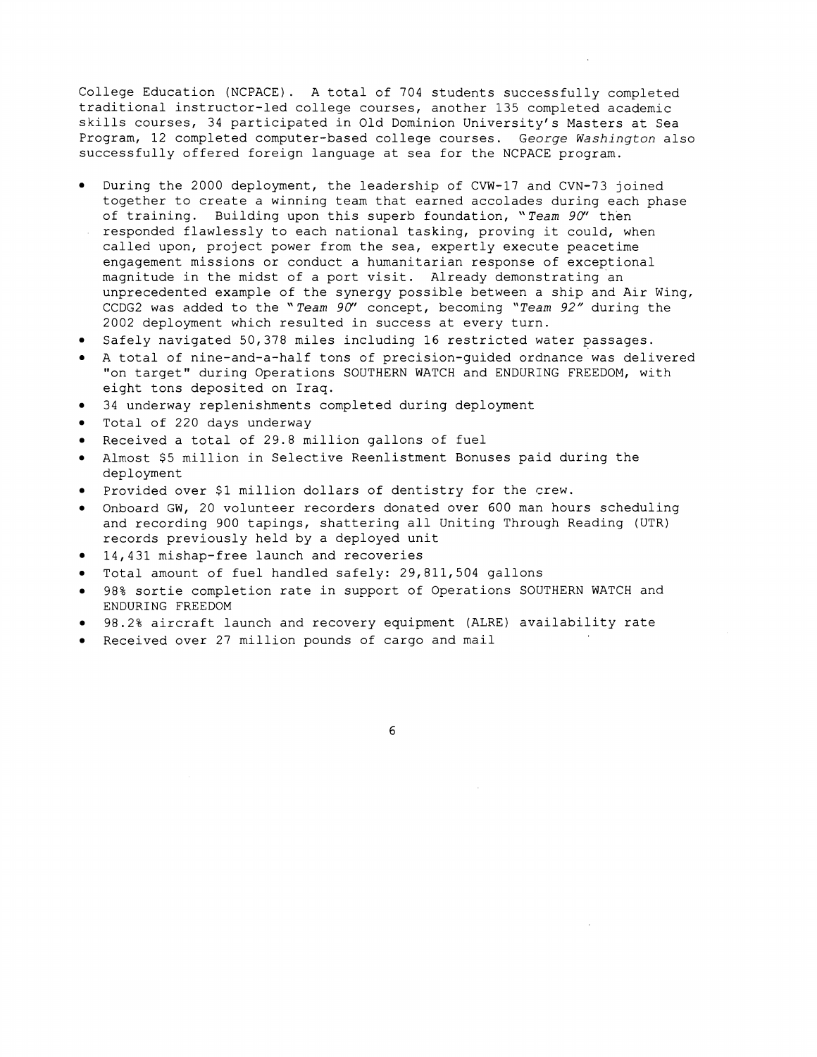College Education (NCPACE) . A total of 704 students successfully completed traditional instructor-led college courses, another 135 completed academic skills courses, 34 participated in Old Dominion University's Masters at Sea Program, 12 completed computer-based college courses. George Washington also successfully offered foreign language at sea for the NCPACE program.

- During the 2000 deployment, the leadership of CVW-17 and CVN-73 joined together to create a winning team that earned accolades during each phase of training. Building upon this superb foundation, "Team  $90''$  then responded flawlessly to each national tasking, proving it could, when called upon, project power from the sea, expertly execute peacetime engagement missions or conduct a humanitarian response of exceptional magnitude in the midst of a port visit. Already demonstrating an unprecedented example of the synergy possible between a ship and Air Wing, CCDG2 was added to the " Team 90'' concept, becoming "Team 92" during the 2002 deployment which resulted in success at every turn.
- $\bullet$  Safely navigated 50,378 miles including 16 restricted water passages.
- A total of nine-and-a-half tons of precision-guided ordnance was delivered "on target" during Operations SOUTHERN WATCH and ENDURING FREEDOM, with eight tons deposited on Iraq.
- 34 underway replenishments completed during deployment
- Total of 220 days underway
- Received a total of 29.8 million gallons of fuel
- Almost \$5 million in Selective Reenlistment Bonuses paid during the deployment
- $\bullet$ Provided over \$1 million dollars of dentistry for the crew.
- Onboard GW, 20 volunteer recorders donated over 600 man hours scheduling and recording 900 tapings, shattering all Uniting Through Reading (UTR) records previously held by a deployed unit
- 14,431 mishap-free launch and recoveries
- Total amount of fuel handled safely: 29,811,504 gallons
- 98% sortie completion rate in support of Operations SOUTHERN WATCH and ENDURING FREEDOM
- 98.2% aircraft launch and recovery equipment (ALRE) availability rate  $\bullet$
- Received over 27 million pounds of cargo and mail

6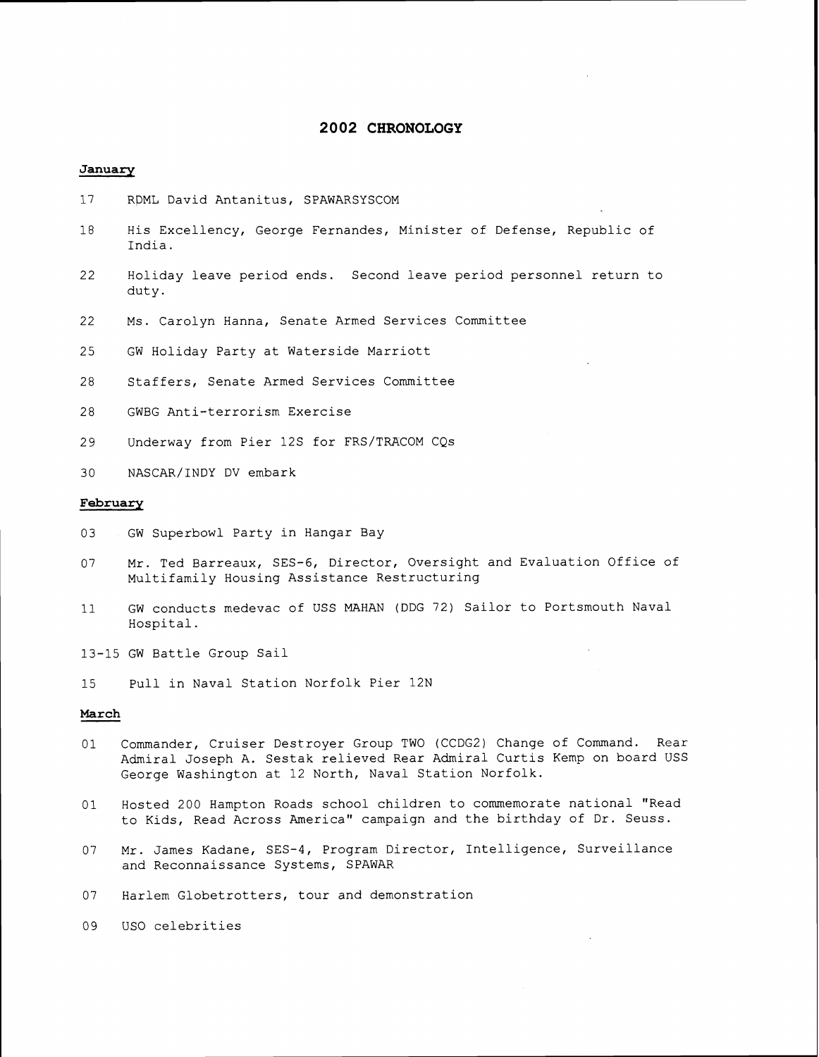# 2002 CHRONOLOGY

## **January**

- 17 RDML David Antanitus, SPAWARSYSCOM
- 18 His Excellency, George Fernandes, Minister of Defense, Republic of India.
- 22 Holiday leave period ends. Second leave period personnel return to duty.
- 22 Ms. Carolyn Hanna, Senate Armed Services Committee
- 25 GW Holiday Party at Waterside Marriott
- 28 Staffers, Senate Armed Services Committee
- 28 GWBG Anti-terrorism Exercise
- 29 Underway from Pier 12S for FRS/TRACOM CQs
- 30 NASCAR/INDY DV embark

#### February

- 03 GW Superbowl Party in Hangar Bay
- 07 Mr. Ted Barreaux, SES-6, Director, Oversight and Evaluation Office of Multifamily Housing Assistance Restructuring
- 11 GW conducts medevac of USS MAHAN (DDG 72) Sailor to Portsmouth Naval Hospital.
- 13-15 GW Battle Group Sail
- 15 Pull in Naval Station Norfolk Pier 12N

## **March**

- 01 Commander, Cruiser Destroyer Group TWO (CCDG2) Change of Command. Rear Admiral Joseph A. Sestak relieved Rear Admiral Curtis Kemp on board USS George Washington at 12 North, Naval Station Norfolk.
- 01 Hosted 200 Hampton Roads school children to commemorate national "Read to Kids, Read Across America" campaign and the birthday of Dr. Seuss.
- 07 Mr. James Kadane, SES-4, Program Director, Intelligence, Surveillance and Reconnaissance Systems, SPAWAR
- 07 Harlem Globetrotters, tour and demonstration

09 US0 celebrities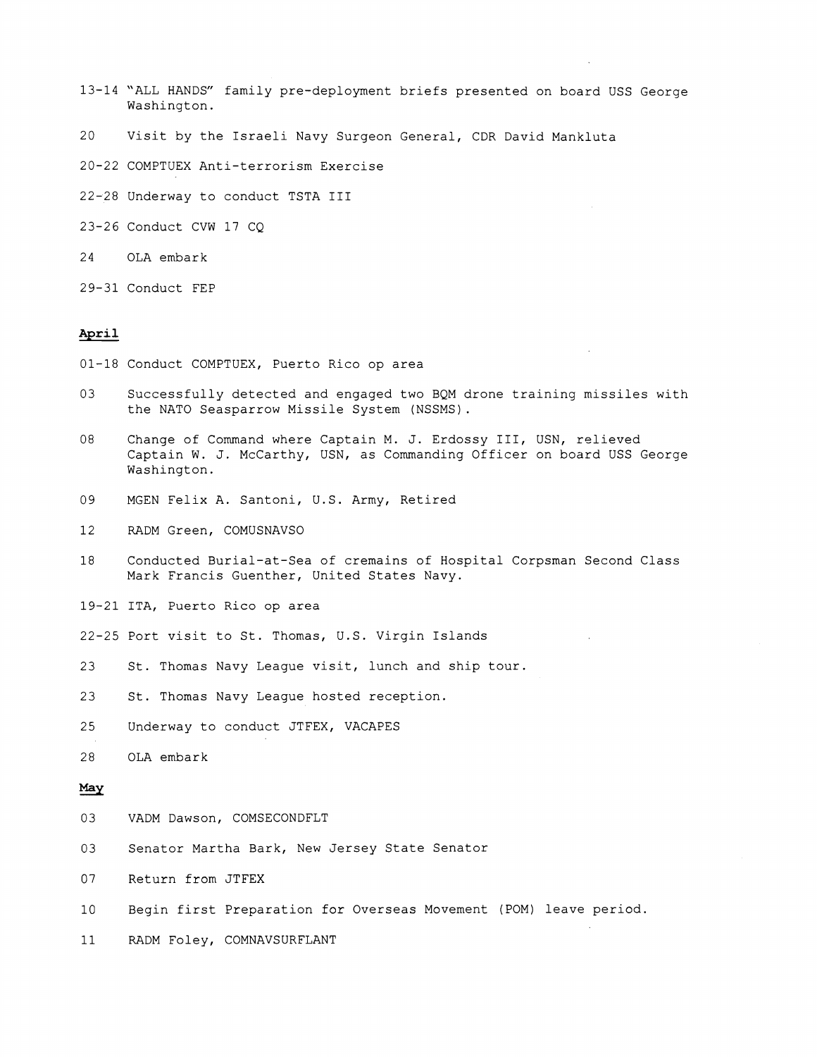- 13-14 "ALL HANDS" family pre-deployment briefs presented on board USS George Washington.
- 20 Visit by the Israeli Navy Surgeon General, CDR David Mankluta
- 20-22 COMPTUEX Anti-terrorism Exercise
- 22-28 Underway to conduct TSTA I11
- 23-26 Conduct CVW 17 CQ
- 24 OLA embark
- 29-31 Conduct FEP

#### **April**

- 01-18 Conduct COMPTUEX, Puerto Rico op area
- 03 Successfully detected and engaged two BQM drone training missiles with the NATO Seasparrow Missile System (NSSMS).
- 08 Change of Command where Captain M. J. Erdossy 111, USN, relieved Captain W. J. McCarthy, USN, as Commanding Officer on board USS George Washington.
- 09 MGEN Felix A. Santoni, U.S. Army, Retired
- 12 RADM Green, COMUSNAVSO
- 18 Conducted Burial-at-Sea of cremains of Hospital Corpsman Second Class Mark Francis Guenther, United States Navy.
- 19-21 ITA, Puerto Rico op area
- 22-25 Port visit to St. Thomas, U.S. Virgin Islands
- 23 St. Thomas Navy League visit, lunch and ship tour.
- 23 St. Thomas Navy League hosted reception.
- 25 Underway to conduct JTFEX, VACAPES
- 28 OLA embark

#### **May**

- 03 VADM Dawson, COMSECONDFLT
- 03 Senator Martha Bark, New Jersey State Senator
- 07 Return from JTFEX
- 10 Begin first Preparation for Overseas Movement (POM) leave period
- 11 RADM Foley, COMNAVSURFLANT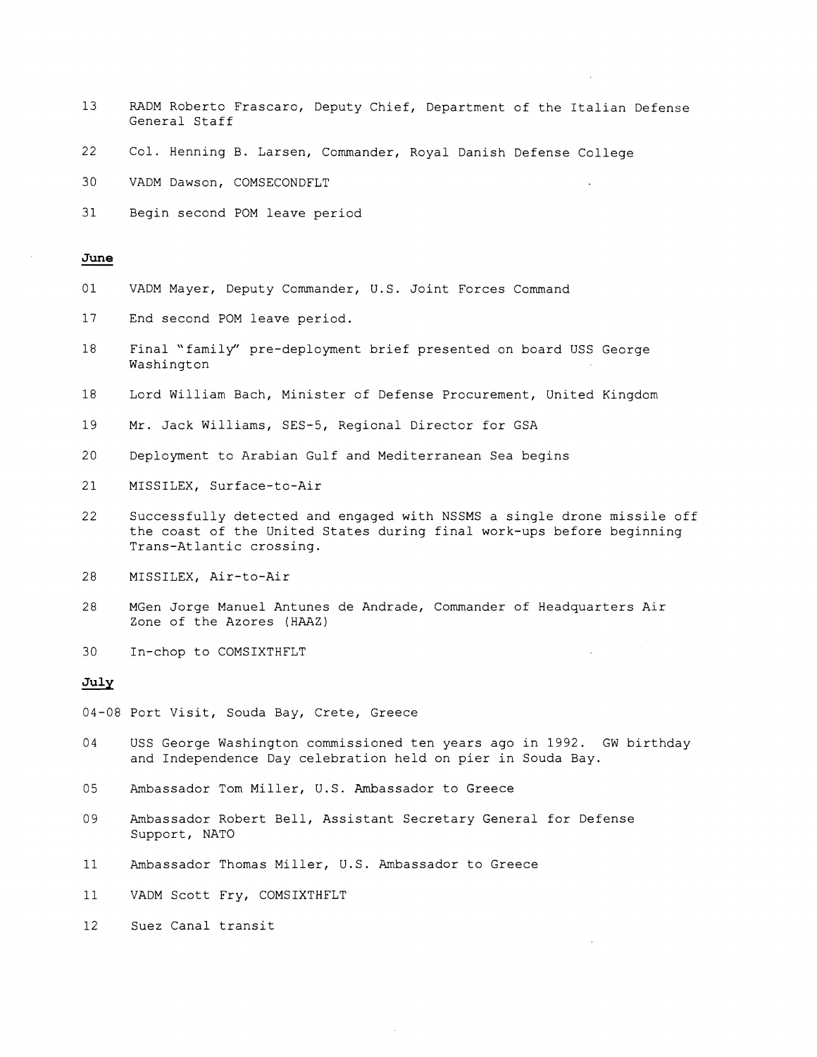- 13 RADM Roberto Frascaro, Deputy Chief, Department of the Italian Defense General Staff
- 22 Col. Henning B. Larsen, Commander, Royal Danish Defense College
- 30 VADM Dawson, COMSECONDFLT 30 VAD<br>31 Beg<br><u>June</u><br>01 VAD
- 31 Begin second POM leave period

- 01 VADM Mayer, Deputy Commander, U.S. Joint Forces Command
- 17 End second POM leave period.
- 18 Final "family" pre-deployment brief presented on board USS George Washington
- 18 Lord William Bach, Minister of Defense Procurement, United Kingdom
- 19 Mr. Jack Williams, SES-5, Regional Director for GSA
- 20 Deployment to Arabian Gulf and Mediterranean Sea begins
- 21 MISSILEX, Surface-to-Air
- 22 Successfully detected and engaged with NSSMS a single drone missile off the coast of the United States during final work-ups before beginning Trans-Atlantic crossing.
- 28 MISSILEX, Air-to-Air
- 28 MGen Jorge Manuel Antunes de Andrade, Commander of Headquarters Air Zone of the Azores (HAAZ)
- 30 In-chop to COMSIXTHFLT

#### **July**

04-08 Port Visit, Souda Bay, Crete, Greece

- 04 USS George Washington commissioned ten years ago in 1992. GW birthday and Independence Day celebration held on pier in Souda Bay.
- 05 Ambassador Tom Miller, U.S. Ambassador to Greece
- 09 Ambassador Robert Bell, Assistant Secretary General for Defense Support, NATO
- 11 Ambassador Thomas Miller, U.S. Ambassador to Greece
- 11 VADM Scott Fry, COMSIXTHFLT
- 12 Suez Canal transit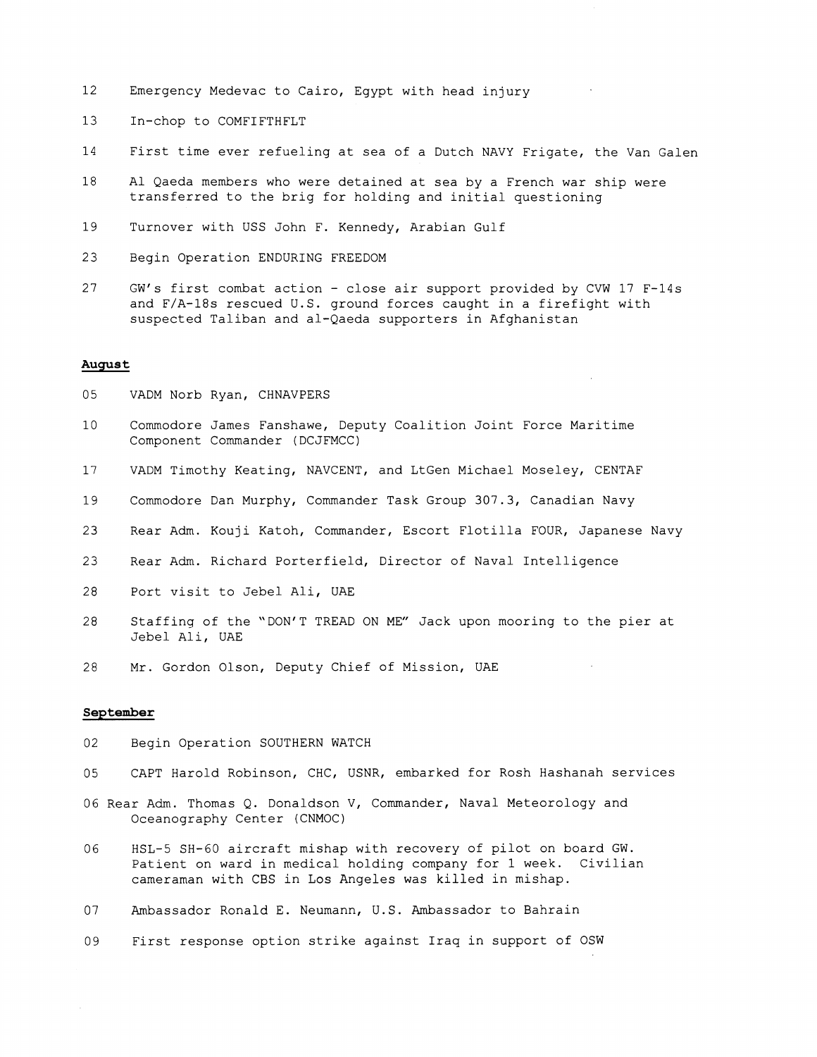- 12 Emergency Medevac to Cairo, Egypt with head injury
- 13 In-chop to COMFIFTHFLT
- 14 First time ever refueling at sea of a Dutch NAVY Frigate, the Van Galen
- 18 A1 Qaeda members who were detained at sea by a French war ship were transferred to the brig for holding and initial questioning
- 19 Turnover with USS John F. Kennedy, Arabian Gulf
- 23 Begin Operation ENDURING FREEDOM
- 27 GW's first combat action close air support provided by CVW 17 F-14s and F/A-18s rescued U.S. ground forces caught in a firefight with suspected Taliban and al-Qaeda supporters in Afghanistan

## **August**

- 05 VADM Norb Ryan, CHNAVPERS
- 10 Commodore James Fanshawe, Deputy Coalition Joint Force Maritime Component Commander (DCJFMCC)
- 17 VADM Timothy Keating, NAVCENT, and LtGen Michael Moseley, CENTAF
- 19 Commodore Dan Murphy, Commander Task Group 307.3, Canadian Navy
- 23 Rear Adm. Kouji Katoh, Commander, Escort Flotilla FOUR, Japanese Navy
- 23 Rear Adm. Richard Porterfield, Director of Naval Intelligence
- 28 Port visit to Jebel Ali, UAE
- 28 Staffing of the "DON'T TREAD ON ME" Jack upon mooring to the pier at Jebel Ali, UAE
- 28 Mr. Gordon Olson, Deputy Chief of Mission, UAE

## **September**

- 02 Begin Operation SOUTHERN WATCH
- 05 CAPT Harold Robinson, CHC, USNR, embarked for Rosh Hashanah services
- 06 Rear Adm. Thomas Q. Donaldson V, Commander, Naval Meteorology and Oceanography Center (CNMOC)
- 06 HSL-5 SH-60 aircraft mishap with recovery of pilot on board GW. Patient on ward in medical holding company for 1 week. Civilian cameraman with CBS in Los Angeles was killed in mishap.
- 07 Ambassador Ronald E. Neumann, U.S. Ambassador to Bahrain
- 09 First response option strike against Iraq in support of OSW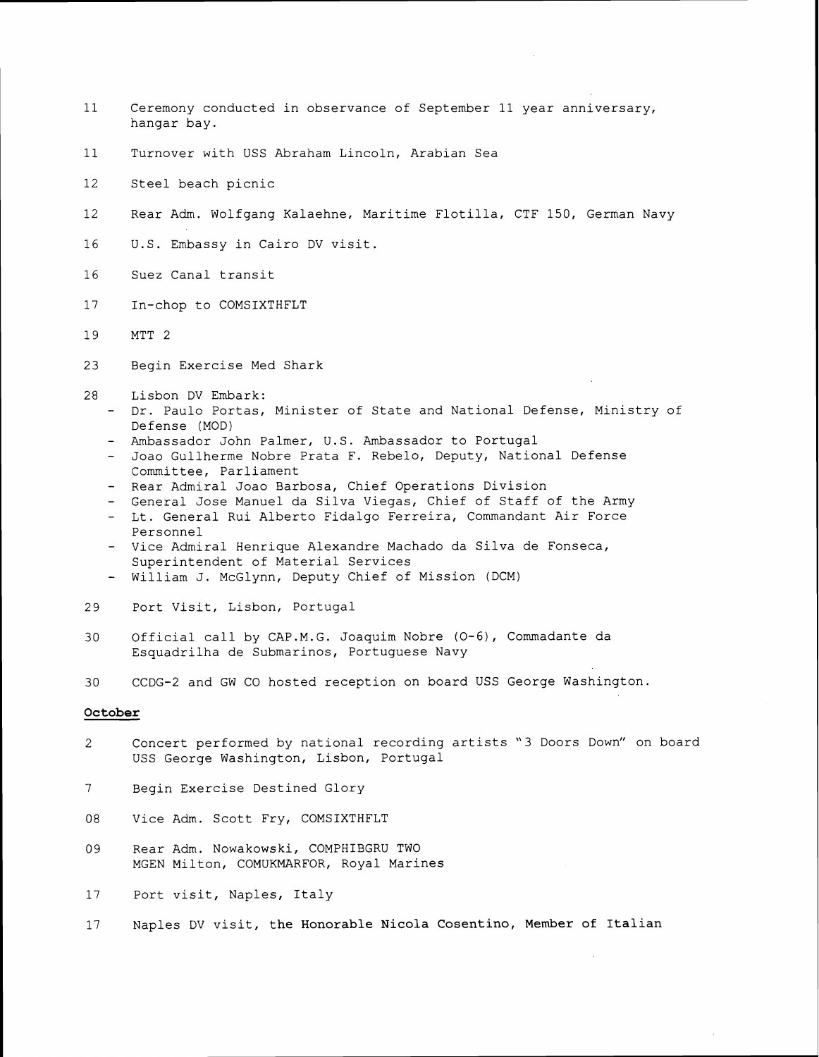- 11 Ceremony conducted in observance of September 11 year anniversary, hangar bay.
- 11 Turnover with USS Abraham Lincoln, Arabian Sea
- 12 Steel beach picnic
- 12 Rear Adm. Wolfgang Kalaehne, Maritime Flotilla, CTF 150, German Navy
- 16 U.S. Embassy in Cairo DV visit.
- 16 Suez Canal transit
- 17 In-chop to COMSIXTHFLT
- 19 MTT 2
- 23 Begin Exercise Med Shark
- 28 Lisbon DV Embark:
	- Dr. Paulo Portas, Minister of State and National Defense, Ministry of Defense (MOD)
	- Ambassador John Palmer, U.S. Ambassador to Portugal
	- Joao Gullherme Nobre Prata F. Rebelo, Deputy, National Defense Committee, Parliament
	- Rear Admiral Joao Barbosa, Chief Operations Division
	- General Jose Manuel da Silva Viegas, Chief of Staff of the Army
	- Lt. General Rui Alberto Fidalgo Ferreira, Commandant Air Force Personnel
	- Vice Admiral Henrique Alexandre Machado da Silva de Fonseca, Superintendent of Material Services
	- William J. McGlynn, Deputy Chief of Mission (DCM)
- 29 Port Visit, Lisbon, Portugal
- 30 Official call by CAP.M,G. Joaquim Nobre (0-6), Commadante da Esquadrilha de Submarinos, Portuguese Navy
- 30 CCDG-2 and GW CO hosted reception on board USS George Washington.

# **October**

- 2 Concert performed by national recording artists "3 Doors Down" on board USS George Washington, Lisbon, Portugal
- 7 Begin Exercise Destined Glory
- 08 Vice Adm. Scott Fry, COMSIXTHFLT
- 09 Rear Adm. Nowakowski, COMPHIBGRU TWO MGEN Milton, COMUKMARFOR, Royal Marines
- 17 Port visit, Naples, Italy
- 17 Naples DV visit, the Honorable Nicola Cosentino, Member of Italian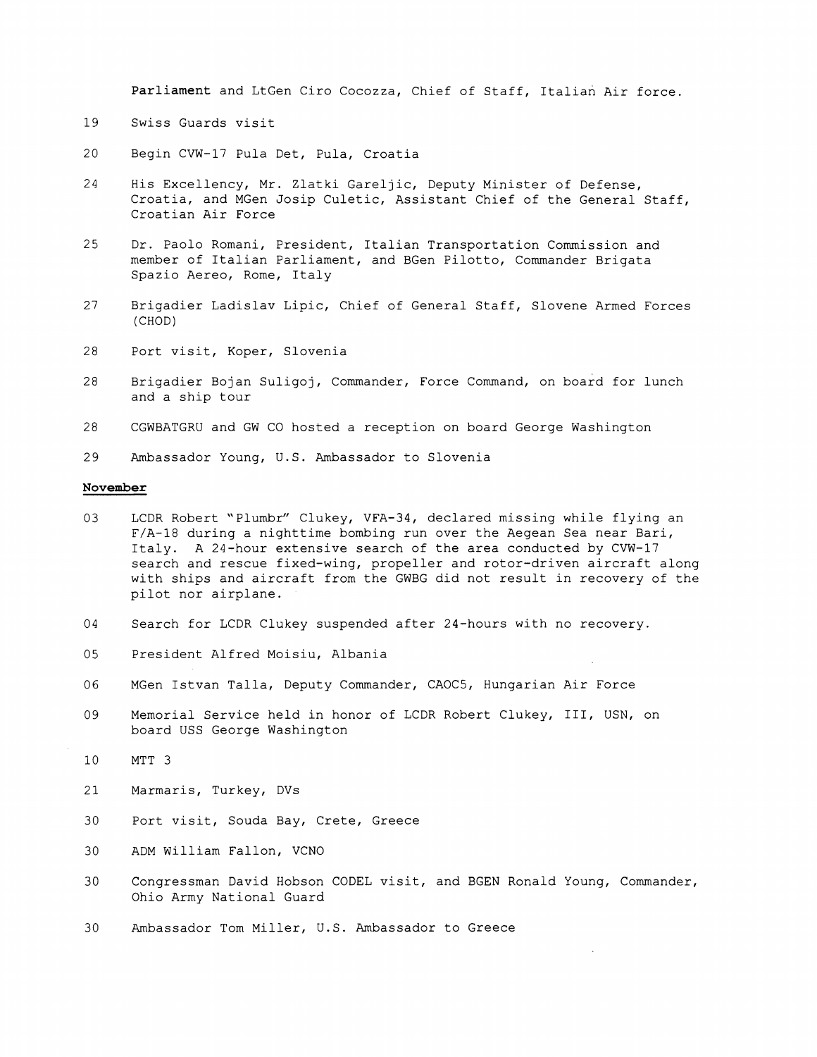Parliament and LtCen Ciro Cocozza, Chief of Staff, 1talian Air force.

- 19 Swiss Guards visit
- 20 Begin CVW-17 Pula Det, Pula, Croatia
- 24 His Excellency, Mr. Zlatki Gareljic, Deputy Minister of Defense, Croatia, and MGen Josip Culetic, Assistant Chief of the General Staff, Croatian Air Force
- 25 Dr. Paolo Romani, President, Italian Transportation Commission and member of Italian Parliament, and BGen Pilotto, Commander Brigata Spazio Aereo, Rome, Italy
- 27 Brigadier Ladislav Lipic, Chief of General Staff, Slovene Armed Forces (CHOD)
- 28 Port visit, Koper, Slovenia
- 28 Brigadier Bojan Suligoj, Commander, Force Command, on board for lunch and a ship tour
- 28 CGWBATGRU and GW CO hosted a reception on board George Washington
- 29 Ambassador Young, U.S. Ambassador to Slovenia

# **November**

- 03 LCDR Robert "Plumbr" Clukey, VFA-34, declared missing while flying an F/A-18 during a nighttime bombing run over the Aegean Sea near Bari, Italy. A 24-hour extensive search of the area conducted by CVW-17 search and rescue fixed-wing, propeller and rotor-driven aircraft along with ships and aircraft from the GWBG did not result in recovery of the pilot nor airplane.
- 04 Search for LCDR Clukey suspended after 24-hours with no recovery.
- 05 President Alfred Moisiu, Albania
- 06 MGen Istvan Talla, Deputy Commander, CAOC5, Hungarian Air Force
- 09 Memorial Service held in honor of LCDR Robert Clukey, 111, USN, on board USS George Washington
- 10 MTT 3
- 21 Marmaris, Turkey, DVs
- 30 Port visit, Souda Bay, Crete, Greece
- 30 ADM William Fallon, VCNO
- 30 Congressman David Hobson CODEL visit, and BGEN Ronald Young, Commander, Ohio Army National Guard
- 30 Ambassador Tom Miller, U.S. Ambassador to Greece